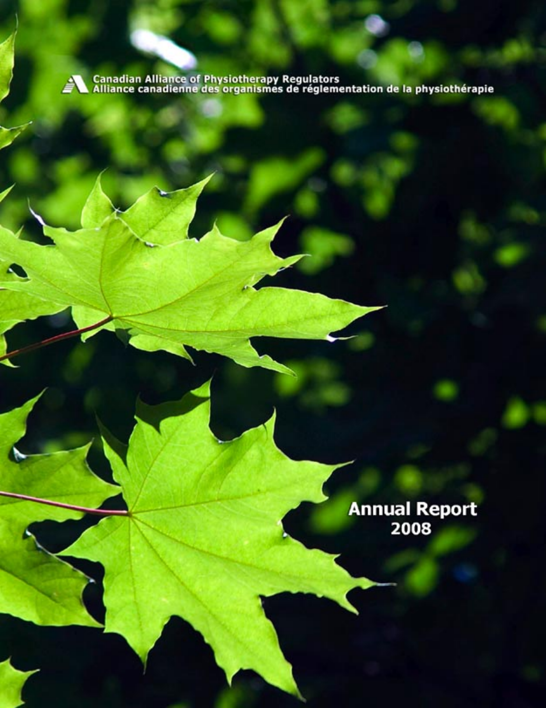Canadian Alliance of Physiotherapy Regulators<br>Alliance canadienne des organismes de réglementation de la physiothérapie

Annual Report<br>2008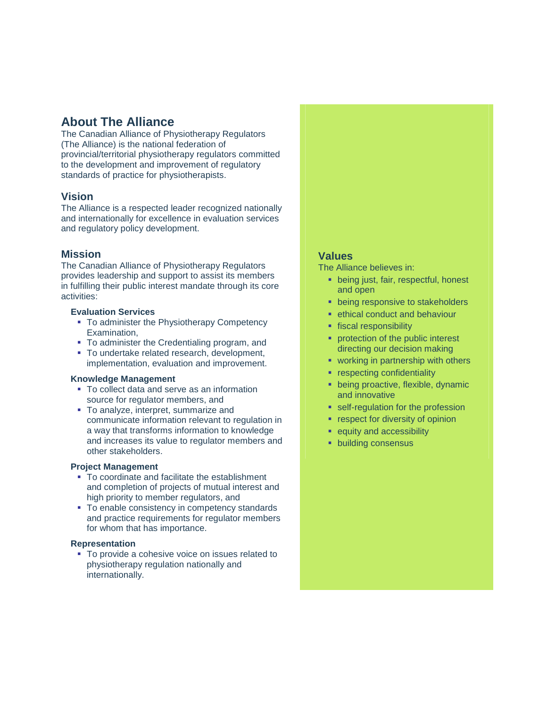# **About The Alliance**

The Canadian Alliance of Physiotherapy Regulators (The Alliance) is the national federation of provincial/territorial physiotherapy regulators committed to the development and improvement of regulatory standards of practice for physiotherapists.

## **Vision**

The Alliance is a respected leader recognized nationally and internationally for excellence in evaluation services and regulatory policy development.

## **Mission**

The Canadian Alliance of Physiotherapy Regulators provides leadership and support to assist its members in fulfilling their public interest mandate through its core activities:

## **Evaluation Services**

- To administer the Physiotherapy Competency Examination,
- To administer the Credentialing program, and
- **To undertake related research, development,** implementation, evaluation and improvement.

## **Knowledge Management**

- **To collect data and serve as an information** source for regulator members, and
- To analyze, interpret, summarize and communicate information relevant to regulation in a way that transforms information to knowledge and increases its value to regulator members and other stakeholders.

## **Project Management**

- To coordinate and facilitate the establishment and completion of projects of mutual interest and high priority to member regulators, and
- To enable consistency in competency standards and practice requirements for regulator members for whom that has importance.

## **Representation**

■ To provide a cohesive voice on issues related to physiotherapy regulation nationally and internationally.

## **Values**

The Alliance believes in:

- **•** being just, fair, respectful, honest and open
- **being responsive to stakeholders**
- **Exercise 1** ethical conduct and behaviour
- **fiscal responsibility**
- **PEDITE:** protection of the public interest directing our decision making
- **working in partnership with others**
- **•** respecting confidentiality
- **being proactive, flexible, dynamic** and innovative
- **self-regulation for the profession**
- **•** respect for diversity of opinion
- **equity and accessibility**
- **•** building consensus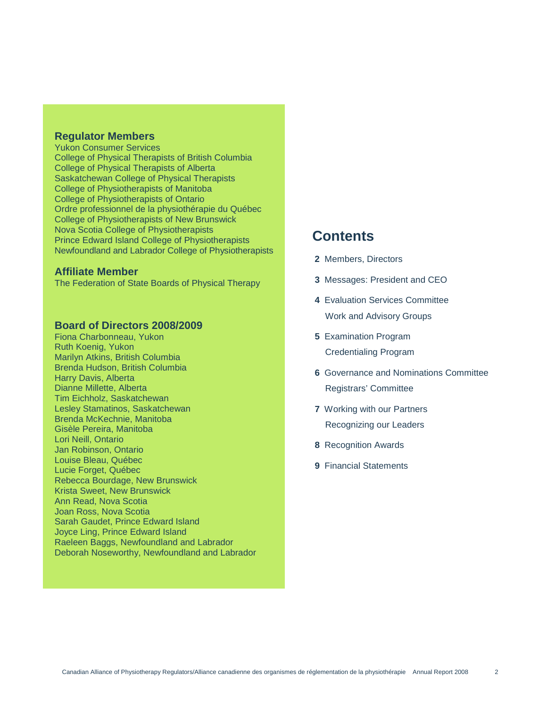## **Regulator Members**

Yukon Consumer Services College of Physical Therapists of British Columbia College of Physical Therapists of Alberta Saskatchewan College of Physical Therapists College of Physiotherapists of Manitoba College of Physiotherapists of Ontario Ordre professionnel de la physiothérapie du Québec College of Physiotherapists of New Brunswick Nova Scotia College of Physiotherapists Prince Edward Island College of Physiotherapists Newfoundland and Labrador College of Physiotherapists

## **Affiliate Member**

The Federation of State Boards of Physical Therapy

## **Board of Directors 2008/2009**

Fiona Charbonneau, Yukon Ruth Koenig, Yukon Marilyn Atkins, British Columbia Brenda Hudson, British Columbia Harry Davis, Alberta Dianne Millette, Alberta Tim Eichholz, Saskatchewan Lesley Stamatinos, Saskatchewan Brenda McKechnie, Manitoba Gisèle Pereira, Manitoba Lori Neill, Ontario Jan Robinson, Ontario Louise Bleau, Québec Lucie Forget, Québec Rebecca Bourdage, New Brunswick Krista Sweet, New Brunswick Ann Read, Nova Scotia Joan Ross, Nova Scotia Sarah Gaudet, Prince Edward Island Joyce Ling, Prince Edward Island Raeleen Baggs, Newfoundland and Labrador Deborah Noseworthy, Newfoundland and Labrador

# **Contents**

- **2** Members, Directors
- **3** Messages: President and CEO
- **4** Evaluation Services Committee Work and Advisory Groups
- **5** Examination Program Credentialing Program
- **6** Governance and Nominations Committee Registrars' Committee
- **7** Working with our Partners Recognizing our Leaders
- **8** Recognition Awards
- **9** Financial Statements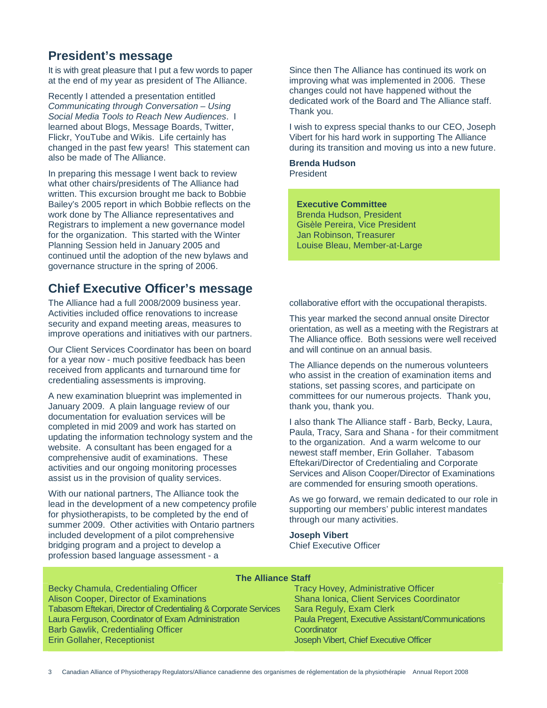# **President's message**

It is with great pleasure that I put a few words to paper at the end of my year as president of The Alliance.

Recently I attended a presentation entitled Communicating through Conversation – Using Social Media Tools to Reach New Audiences. I learned about Blogs, Message Boards, Twitter, Flickr, YouTube and Wikis. Life certainly has changed in the past few years! This statement can also be made of The Alliance.

In preparing this message I went back to review what other chairs/presidents of The Alliance had written. This excursion brought me back to Bobbie Bailey's 2005 report in which Bobbie reflects on the work done by The Alliance representatives and Registrars to implement a new governance model for the organization. This started with the Winter Planning Session held in January 2005 and continued until the adoption of the new bylaws and governance structure in the spring of 2006.

# **Chief Executive Officer's message**

The Alliance had a full 2008/2009 business year. Activities included office renovations to increase security and expand meeting areas, measures to improve operations and initiatives with our partners.

Our Client Services Coordinator has been on board for a year now - much positive feedback has been received from applicants and turnaround time for credentialing assessments is improving.

A new examination blueprint was implemented in January 2009. A plain language review of our documentation for evaluation services will be completed in mid 2009 and work has started on updating the information technology system and the website. A consultant has been engaged for a comprehensive audit of examinations. These activities and our ongoing monitoring processes assist us in the provision of quality services.

With our national partners, The Alliance took the lead in the development of a new competency profile for physiotherapists, to be completed by the end of summer 2009. Other activities with Ontario partners included development of a pilot comprehensive bridging program and a project to develop a profession based language assessment - a

Since then The Alliance has continued its work on improving what was implemented in 2006. These changes could not have happened without the dedicated work of the Board and The Alliance staff. Thank you.

I wish to express special thanks to our CEO, Joseph Vibert for his hard work in supporting The Alliance during its transition and moving us into a new future.

**Brenda Hudson**  President

## **Executive Committee**

 Brenda Hudson, President Gisèle Pereira, Vice President Jan Robinson, Treasurer Louise Bleau, Member-at-Large

collaborative effort with the occupational therapists.

This year marked the second annual onsite Director orientation, as well as a meeting with the Registrars at The Alliance office. Both sessions were well received and will continue on an annual basis.

The Alliance depends on the numerous volunteers who assist in the creation of examination items and stations, set passing scores, and participate on committees for our numerous projects. Thank you, thank you, thank you.

I also thank The Alliance staff - Barb, Becky, Laura, Paula, Tracy, Sara and Shana - for their commitment to the organization. And a warm welcome to our newest staff member, Erin Gollaher. Tabasom Eftekari/Director of Credentialing and Corporate Services and Alison Cooper/Director of Examinations are commended for ensuring smooth operations.

As we go forward, we remain dedicated to our role in supporting our members' public interest mandates through our many activities.

## **Joseph Vibert**

Chief Executive Officer

| Becky Chamula, Credentialing Officer                             |
|------------------------------------------------------------------|
| Alison Cooper, Director of Examinations                          |
| Tabasom Eftekari, Director of Credentialing & Corporate Services |
| Laura Ferguson, Coordinator of Exam Administration               |
| Barb Gawlik, Credentialing Officer                               |
| Erin Gollaher, Receptionist                                      |
|                                                                  |

## **The Alliance Staff**

Tracy Hovey, Administrative Officer Shana Ionica, Client Services Coordinator Sara Reguly, Exam Clerk Paula Pregent, Executive Assistant/Communications **Coordinator** Joseph Vibert, Chief Executive Officer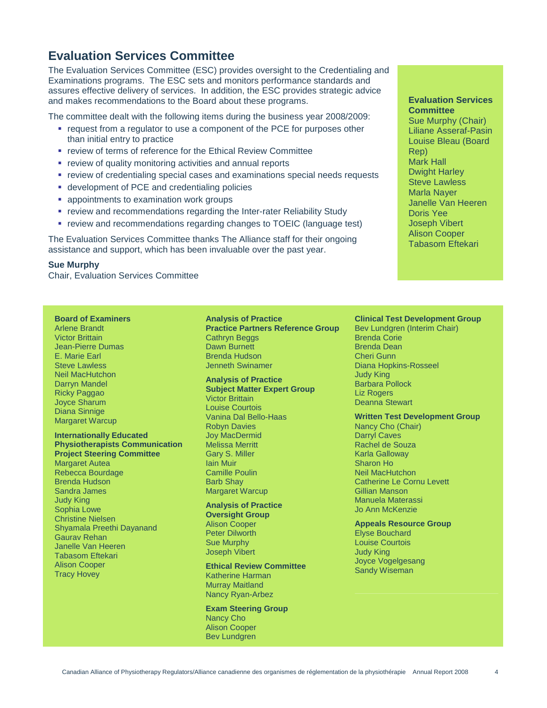# **Evaluation Services Committee**

The Evaluation Services Committee (ESC) provides oversight to the Credentialing and Examinations programs. The ESC sets and monitors performance standards and assures effective delivery of services. In addition, the ESC provides strategic advice and makes recommendations to the Board about these programs.

The committee dealt with the following items during the business year 2008/2009:

- request from a regulator to use a component of the PCE for purposes other than initial entry to practice
- **review of terms of reference for the Ethical Review Committee**
- **•** review of quality monitoring activities and annual reports
- **•** review of credentialing special cases and examinations special needs requests
- **-** development of PCE and credentialing policies
- **appointments to examination work groups**
- **review and recommendations regarding the Inter-rater Reliability Study**
- review and recommendations regarding changes to TOEIC (language test)

The Evaluation Services Committee thanks The Alliance staff for their ongoing assistance and support, which has been invaluable over the past year.

### **Sue Murphy**

Chair, Evaluation Services Committee

### **Board of Examiners**

Arlene Brandt Victor Brittain Jean-Pierre Dumas E. Marie Earl Steve Lawless Neil MacHutchon Darryn Mandel Ricky Paggao Joyce Sharum Diana Sinnige Margaret Warcup

#### **Internationally Educated Physiotherapists Communication Project Steering Committee**

Margaret Autea Rebecca Bourdage Brenda Hudson Sandra James Judy King Sophia Lowe Christine Nielsen Shyamala Preethi Dayanand Gaurav Rehan Janelle Van Heeren Tabasom Eftekari Alison Cooper Tracy Hovey

#### **Analysis of Practice**

**Practice Partners Reference Group**  Cathryn Beggs Dawn Burnett Brenda Hudson Jenneth Swinamer

#### **Analysis of Practice Subject Matter Expert Group**

Victor Brittain Louise Courtois Vanina Dal Bello-Haas Robyn Davies Joy MacDermid Melissa Merritt Gary S. Miller Iain Muir Camille Poulin Barb Shay Margaret Warcup

#### **Analysis of Practice Oversight Group**

Alison Cooper Peter Dilworth Sue Murphy Joseph Vibert

## **Ethical Review Committee**

Katherine Harman Murray Maitland Nancy Ryan-Arbez

**Exam Steering Group**  Nancy Cho Alison Cooper Bev Lundgren

**Evaluation Services Committee**  Sue Murphy (Chair) Liliane Asseraf-Pasin Louise Bleau (Board Rep) Mark Hall Dwight Harley Steve Lawless Marla Nayer Janelle Van Heeren Doris Yee Joseph Vibert Alison Cooper Tabasom Eftekari

## **Clinical Test Development Group**

Bev Lundgren (Interim Chair) Brenda Corie Brenda Dean Cheri Gunn Diana Hopkins-Rosseel Judy King Barbara Pollock Liz Rogers Deanna Stewart

#### **Written Test Development Group**

Nancy Cho (Chair) Darryl Caves Rachel de Souza Karla Galloway Sharon Ho Neil MacHutchon Catherine Le Cornu Levett Gillian Manson Manuela Materassi Jo Ann McKenzie

#### **Appeals Resource Group**

Elyse Bouchard Louise Courtois Judy King Joyce Vogelgesang Sandy Wiseman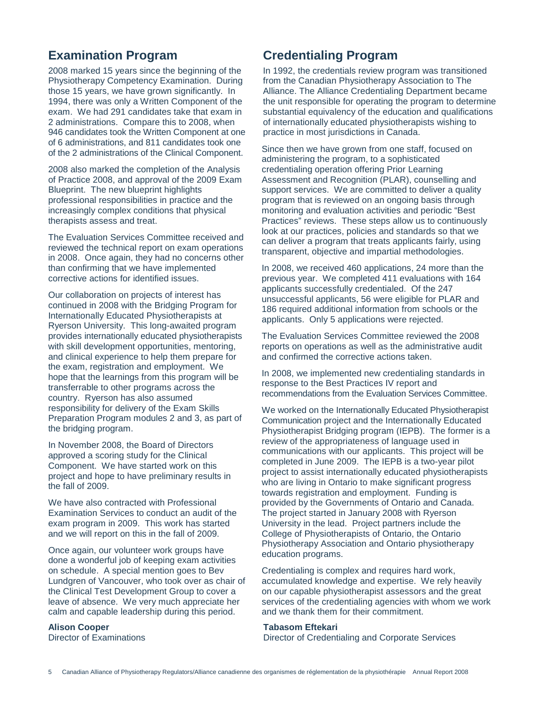# **Examination Program**

2008 marked 15 years since the beginning of the Physiotherapy Competency Examination. During those 15 years, we have grown significantly. In 1994, there was only a Written Component of the exam. We had 291 candidates take that exam in 2 administrations. Compare this to 2008, when 946 candidates took the Written Component at one of 6 administrations, and 811 candidates took one of the 2 administrations of the Clinical Component.

2008 also marked the completion of the Analysis of Practice 2008, and approval of the 2009 Exam Blueprint. The new blueprint highlights professional responsibilities in practice and the increasingly complex conditions that physical therapists assess and treat.

The Evaluation Services Committee received and reviewed the technical report on exam operations in 2008. Once again, they had no concerns other than confirming that we have implemented corrective actions for identified issues.

Our collaboration on projects of interest has continued in 2008 with the Bridging Program for Internationally Educated Physiotherapists at Ryerson University. This long-awaited program provides internationally educated physiotherapists with skill development opportunities, mentoring, and clinical experience to help them prepare for the exam, registration and employment. We hope that the learnings from this program will be transferrable to other programs across the country. Ryerson has also assumed responsibility for delivery of the Exam Skills Preparation Program modules 2 and 3, as part of the bridging program.

In November 2008, the Board of Directors approved a scoring study for the Clinical Component. We have started work on this project and hope to have preliminary results in the fall of 2009.

We have also contracted with Professional Examination Services to conduct an audit of the exam program in 2009. This work has started and we will report on this in the fall of 2009.

Once again, our volunteer work groups have done a wonderful job of keeping exam activities on schedule. A special mention goes to Bev Lundgren of Vancouver, who took over as chair of the Clinical Test Development Group to cover a leave of absence. We very much appreciate her calm and capable leadership during this period.

### **Alison Cooper**

Director of Examinations

# **Credentialing Program**

In 1992, the credentials review program was transitioned from the Canadian Physiotherapy Association to The Alliance. The Alliance Credentialing Department became the unit responsible for operating the program to determine substantial equivalency of the education and qualifications of internationally educated physiotherapists wishing to practice in most jurisdictions in Canada.

Since then we have grown from one staff, focused on administering the program, to a sophisticated credentialing operation offering Prior Learning Assessment and Recognition (PLAR), counselling and support services. We are committed to deliver a quality program that is reviewed on an ongoing basis through monitoring and evaluation activities and periodic "Best Practices" reviews. These steps allow us to continuously look at our practices, policies and standards so that we can deliver a program that treats applicants fairly, using transparent, objective and impartial methodologies.

In 2008, we received 460 applications, 24 more than the previous year. We completed 411 evaluations with 164 applicants successfully credentialed. Of the 247 unsuccessful applicants, 56 were eligible for PLAR and 186 required additional information from schools or the applicants. Only 5 applications were rejected.

The Evaluation Services Committee reviewed the 2008 reports on operations as well as the administrative audit and confirmed the corrective actions taken.

In 2008, we implemented new credentialing standards in response to the Best Practices IV report and recommendations from the Evaluation Services Committee.

We worked on the Internationally Educated Physiotherapist Communication project and the Internationally Educated Physiotherapist Bridging program (IEPB). The former is a review of the appropriateness of language used in communications with our applicants. This project will be completed in June 2009. The IEPB is a two-year pilot project to assist internationally educated physiotherapists who are living in Ontario to make significant progress towards registration and employment. Funding is provided by the Governments of Ontario and Canada. The project started in January 2008 with Ryerson University in the lead. Project partners include the College of Physiotherapists of Ontario, the Ontario Physiotherapy Association and Ontario physiotherapy education programs.

Credentialing is complex and requires hard work, accumulated knowledge and expertise. We rely heavily on our capable physiotherapist assessors and the great services of the credentialing agencies with whom we work and we thank them for their commitment.

### **Tabasom Eftekari**

Director of Credentialing and Corporate Services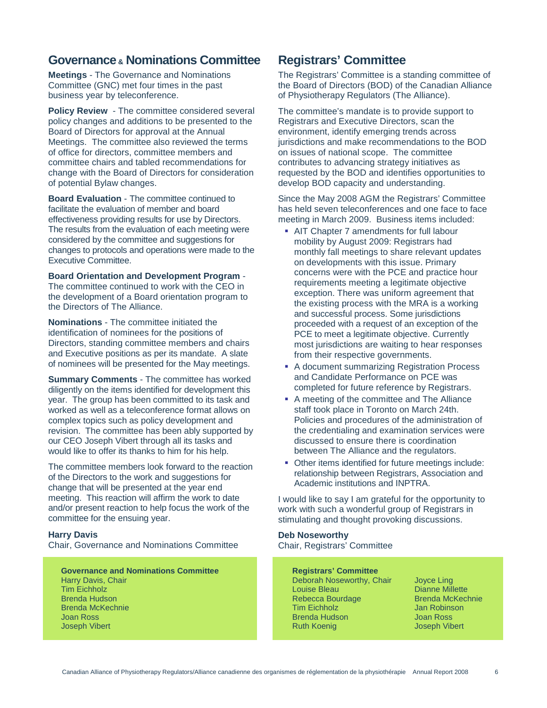# **Governance & Nominations Committee**

**Meetings** - The Governance and Nominations Committee (GNC) met four times in the past business year by teleconference.

**Policy Review** - The committee considered several policy changes and additions to be presented to the Board of Directors for approval at the Annual Meetings. The committee also reviewed the terms of office for directors, committee members and committee chairs and tabled recommendations for change with the Board of Directors for consideration of potential Bylaw changes.

**Board Evaluation - The committee continued to** facilitate the evaluation of member and board effectiveness providing results for use by Directors. The results from the evaluation of each meeting were considered by the committee and suggestions for changes to protocols and operations were made to the Executive Committee.

**Board Orientation and Development Program** - The committee continued to work with the CEO in the development of a Board orientation program to the Directors of The Alliance.

**Nominations** - The committee initiated the identification of nominees for the positions of Directors, standing committee members and chairs and Executive positions as per its mandate. A slate of nominees will be presented for the May meetings.

**Summary Comments** - The committee has worked diligently on the items identified for development this year. The group has been committed to its task and worked as well as a teleconference format allows on complex topics such as policy development and revision. The committee has been ably supported by our CEO Joseph Vibert through all its tasks and would like to offer its thanks to him for his help.

The committee members look forward to the reaction of the Directors to the work and suggestions for change that will be presented at the year end meeting. This reaction will affirm the work to date and/or present reaction to help focus the work of the committee for the ensuing year.

## **Harry Davis**

Chair, Governance and Nominations Committee

**Governance and Nominations Committee** Harry Davis, Chair Tim Eichholz Brenda Hudson Brenda McKechnie Joan Ross Joseph Vibert

# **Registrars' Committee**

The Registrars' Committee is a standing committee of the Board of Directors (BOD) of the Canadian Alliance of Physiotherapy Regulators (The Alliance).

The committee's mandate is to provide support to Registrars and Executive Directors, scan the environment, identify emerging trends across jurisdictions and make recommendations to the BOD on issues of national scope. The committee contributes to advancing strategy initiatives as requested by the BOD and identifies opportunities to develop BOD capacity and understanding.

Since the May 2008 AGM the Registrars' Committee has held seven teleconferences and one face to face meeting in March 2009. Business items included:

- AIT Chapter 7 amendments for full labour mobility by August 2009: Registrars had monthly fall meetings to share relevant updates on developments with this issue. Primary concerns were with the PCE and practice hour requirements meeting a legitimate objective exception. There was uniform agreement that the existing process with the MRA is a working and successful process. Some jurisdictions proceeded with a request of an exception of the PCE to meet a legitimate objective. Currently most jurisdictions are waiting to hear responses from their respective governments.
- A document summarizing Registration Process and Candidate Performance on PCE was completed for future reference by Registrars.
- A meeting of the committee and The Alliance staff took place in Toronto on March 24th. Policies and procedures of the administration of the credentialing and examination services were discussed to ensure there is coordination between The Alliance and the regulators.
- Other items identified for future meetings include: relationship between Registrars, Association and Academic institutions and INPTRA.

I would like to say I am grateful for the opportunity to work with such a wonderful group of Registrars in stimulating and thought provoking discussions.

# **Deb Noseworthy**

Chair, Registrars' Committee

## **Registrars' Committee**

Deborah Noseworthy, Chair Louise Bleau Rebecca Bourdage Tim Eichholz Brenda Hudson Ruth Koenig

Joyce Ling Dianne Millette Brenda McKechnie Jan Robinson Joan Ross Joseph Vibert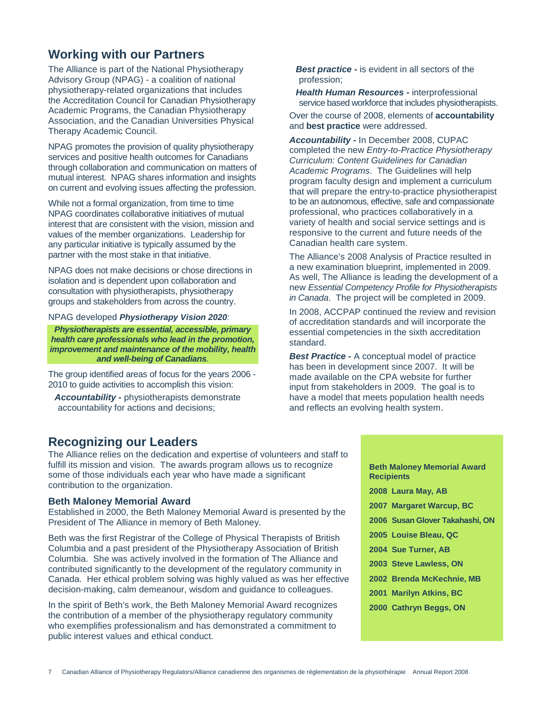# **Working with our Partners**

The Alliance is part of the National Physiotherapy Advisory Group (NPAG) - a coalition of national physiotherapy-related organizations that includes the Accreditation Council for Canadian Physiotherapy Academic Programs, the Canadian Physiotherapy Association, and the Canadian Universities Physical Therapy Academic Council.

NPAG promotes the provision of quality physiotherapy services and positive health outcomes for Canadians through collaboration and communication on matters of mutual interest. NPAG shares information and insights on current and evolving issues affecting the profession.

While not a formal organization, from time to time NPAG coordinates collaborative initiatives of mutual interest that are consistent with the vision, mission and values of the member organizations. Leadership for any particular initiative is typically assumed by the partner with the most stake in that initiative.

NPAG does not make decisions or chose directions in isolation and is dependent upon collaboration and consultation with physiotherapists, physiotherapy groups and stakeholders from across the country.

### NPAG developed **Physiotherapy Vision 2020**:

**Physiotherapists are essential, accessible, primary health care professionals who lead in the promotion, improvement and maintenance of the mobility, health and well-being of Canadians**.

The group identified areas of focus for the years 2006 - 2010 to guide activities to accomplish this vision:

**Accountability -** physiotherapists demonstrate accountability for actions and decisions;

**Best practice -** is evident in all sectors of the profession;

**Health Human Resources -** interprofessional service based workforce that includes physiotherapists.

Over the course of 2008, elements of **accountability** and **best practice** were addressed.

**Accountability -** In December 2008, CUPAC completed the new Entry-to-Practice Physiotherapy Curriculum: Content Guidelines for Canadian Academic Programs. The Guidelines will help program faculty design and implement a curriculum that will prepare the entry-to-practice physiotherapist to be an autonomous, effective, safe and compassionate professional, who practices collaboratively in a variety of health and social service settings and is responsive to the current and future needs of the Canadian health care system.

The Alliance's 2008 Analysis of Practice resulted in a new examination blueprint, implemented in 2009. As well, The Alliance is leading the development of a new Essential Competency Profile for Physiotherapists in Canada. The project will be completed in 2009.

In 2008, ACCPAP continued the review and revision of accreditation standards and will incorporate the essential competencies in the sixth accreditation standard.

**Best Practice -** A conceptual model of practice has been in development since 2007. It will be made available on the CPA website for further input from stakeholders in 2009. The goal is to have a model that meets population health needs and reflects an evolving health system.

## **Recognizing our Leaders**

The Alliance relies on the dedication and expertise of volunteers and staff to fulfill its mission and vision. The awards program allows us to recognize some of those individuals each year who have made a significant contribution to the organization.

### **Beth Maloney Memorial Award**

Established in 2000, the Beth Maloney Memorial Award is presented by the President of The Alliance in memory of Beth Maloney.

Beth was the first Registrar of the College of Physical Therapists of British Columbia and a past president of the Physiotherapy Association of British Columbia. She was actively involved in the formation of The Alliance and contributed significantly to the development of the regulatory community in Canada. Her ethical problem solving was highly valued as was her effective decision-making, calm demeanour, wisdom and guidance to colleagues.

In the spirit of Beth's work, the Beth Maloney Memorial Award recognizes the contribution of a member of the physiotherapy regulatory community who exemplifies professionalism and has demonstrated a commitment to public interest values and ethical conduct.

| <b>Beth Maloney Memorial Award</b><br><b>Recipients</b> |
|---------------------------------------------------------|
| 2008 Laura May, AB                                      |
| 2007 Margaret Warcup, BC                                |
| 2006 Susan Glover Takahashi, ON                         |
| 2005 Louise Bleau, QC                                   |
| 2004 Sue Turner, AB                                     |
| 2003 Steve Lawless, ON                                  |
| 2002 Brenda McKechnie, MB                               |
| 2001 Marilyn Atkins, BC                                 |
| 2000 Cathryn Beggs, ON                                  |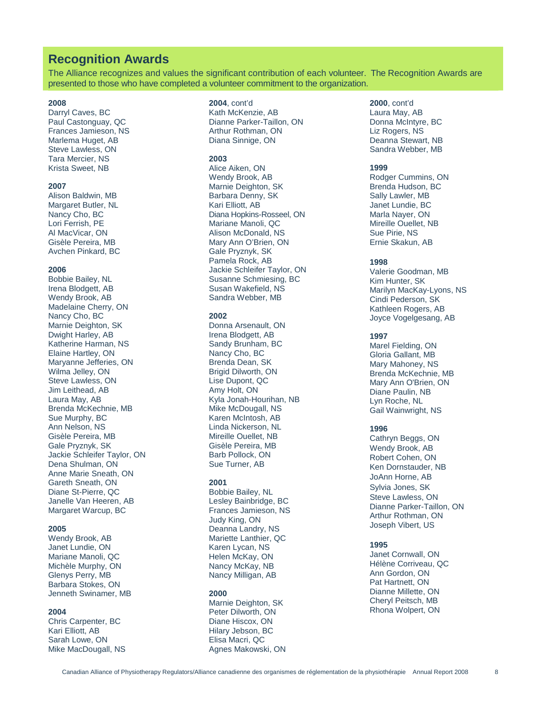## **Recognition Awards**

The Alliance recognizes and values the significant contribution of each volunteer. The Recognition Awards are presented to those who have completed a volunteer commitment to the organization.

## **2008**

Darryl Caves, BC Paul Castonguay, QC Frances Jamieson, NS Marlema Huget, AB Steve Lawless, ON Tara Mercier, NS Krista Sweet, NB

#### **2007**

Alison Baldwin, MB Margaret Butler, NL Nancy Cho, BC Lori Ferrish, PE Al MacVicar, ON Gisèle Pereira, MB Avchen Pinkard, BC

#### **2006**

Bobbie Bailey, NL Irena Blodgett, AB Wendy Brook, AB Madelaine Cherry, ON Nancy Cho, BC Marnie Deighton, SK Dwight Harley, AB Katherine Harman, NS Elaine Hartley, ON Maryanne Jefferies, ON Wilma Jelley, ON Steve Lawless, ON Jim Leithead, AB Laura May, AB Brenda McKechnie, MB Sue Murphy, BC Ann Nelson, NS Gisèle Pereira, MB Gale Pryznyk, SK Jackie Schleifer Taylor, ON Dena Shulman, ON Anne Marie Sneath, ON Gareth Sneath, ON Diane St-Pierre, QC Janelle Van Heeren, AB Margaret Warcup, BC

#### **2005**

Wendy Brook, AB Janet Lundie, ON Mariane Manoli, QC Michèle Murphy, ON Glenys Perry, MB Barbara Stokes, ON Jenneth Swinamer, MB

#### **2004**

Chris Carpenter, BC Kari Elliott, AB Sarah Lowe, ON Mike MacDougall, NS

## **2004**, cont'd

Kath McKenzie, AB Dianne Parker-Taillon, ON Arthur Rothman, ON Diana Sinnige, ON

#### **2003**

Alice Aiken, ON Wendy Brook, AB Marnie Deighton, SK Barbara Denny, SK Kari Elliott, AB Diana Hopkins-Rosseel, ON Mariane Manoli, QC Alison McDonald, NS Mary Ann O'Brien, ON Gale Pryznyk, SK Pamela Rock, AB Jackie Schleifer Taylor, ON Susanne Schmiesing, BC Susan Wakefield, NS Sandra Webber, MB

#### **2002**

Donna Arsenault, ON Irena Blodgett, AB Sandy Brunham, BC Nancy Cho, BC Brenda Dean, SK Brigid Dilworth, ON Lise Dupont, QC Amy Holt, ON Kyla Jonah-Hourihan, NB Mike McDougall, NS Karen McIntosh, AB Linda Nickerson, NL Mireille Ouellet, NB Gisèle Pereira, MB Barb Pollock, ON Sue Turner, AB

#### **2001**

Bobbie Bailey, NL Lesley Bainbridge, BC Frances Jamieson, NS Judy King, ON Deanna Landry, NS Mariette Lanthier, QC Karen Lycan, NS Helen McKay, ON Nancy McKay, NB Nancy Milligan, AB

#### **2000**

Marnie Deighton, SK Peter Dilworth, ON Diane Hiscox, ON Hilary Jebson, BC Elisa Macri, QC Agnes Makowski, ON **2000**, cont'd

Laura May, AB Donna McIntyre, BC Liz Rogers, NS Deanna Stewart, NB Sandra Webber, MB

#### **1999**

Rodger Cummins, ON Brenda Hudson, BC Sally Lawler, MB Janet Lundie, BC Marla Nayer, ON Mireille Ouellet, NB Sue Pirie, NS Ernie Skakun, AB

#### **1998**

Valerie Goodman, MB Kim Hunter, SK Marilyn MacKay-Lyons, NS Cindi Pederson, SK Kathleen Rogers, AB Joyce Vogelgesang, AB

#### **1997**

Marel Fielding, ON Gloria Gallant, MB Mary Mahoney, NS Brenda McKechnie, MB Mary Ann O'Brien, ON Diane Paulin, NB Lyn Roche, NL Gail Wainwright, NS

#### **1996**

Cathryn Beggs, ON Wendy Brook, AB Robert Cohen, ON Ken Dornstauder, NB JoAnn Horne, AB Sylvia Jones, SK Steve Lawless, ON Dianne Parker-Taillon, ON Arthur Rothman, ON Joseph Vibert, US

#### **1995**

Janet Cornwall, ON Hélène Corriveau, QC Ann Gordon, ON Pat Hartnett, ON Dianne Millette, ON Cheryl Peitsch, MB Rhona Wolpert, ON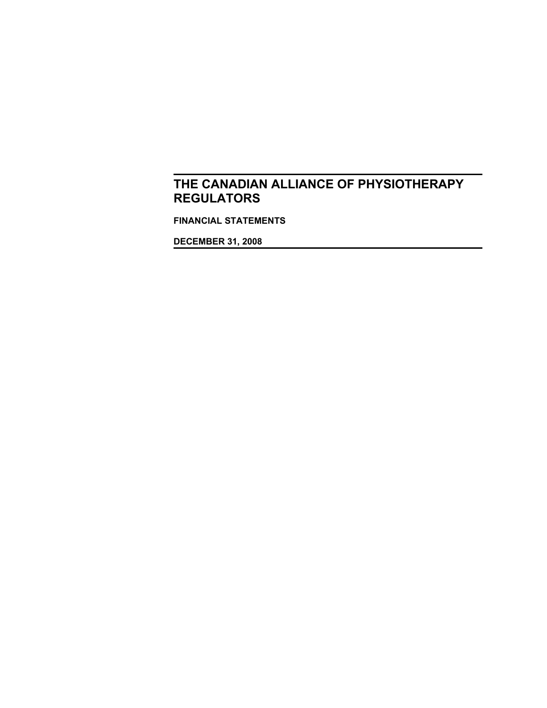**FINANCIAL STATEMENTS**

**DECEMBER 31, 2008**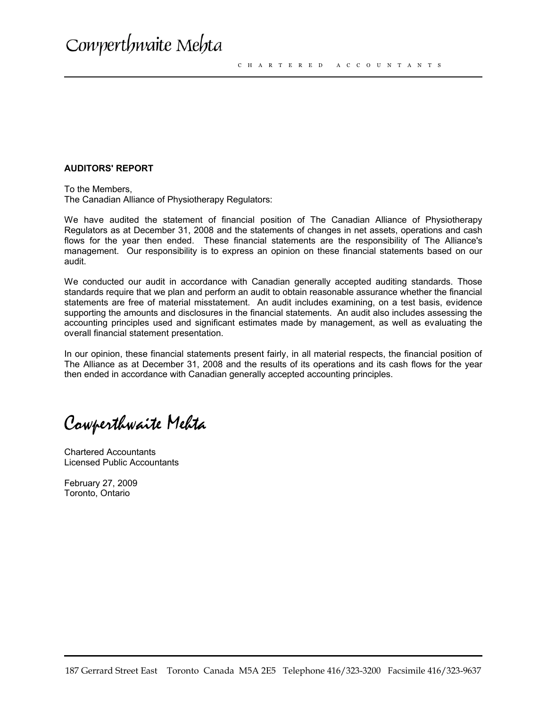## **AUDITORS' REPORT**

To the Members, The Canadian Alliance of Physiotherapy Regulators:

We have audited the statement of financial position of The Canadian Alliance of Physiotherapy Regulators as at December 31, 2008 and the statements of changes in net assets, operations and cash flows for the year then ended. These financial statements are the responsibility of The Alliance's management. Our responsibility is to express an opinion on these financial statements based on our audit.

We conducted our audit in accordance with Canadian generally accepted auditing standards. Those standards require that we plan and perform an audit to obtain reasonable assurance whether the financial statements are free of material misstatement. An audit includes examining, on a test basis, evidence supporting the amounts and disclosures in the financial statements. An audit also includes assessing the accounting principles used and significant estimates made by management, as well as evaluating the overall financial statement presentation.

In our opinion, these financial statements present fairly, in all material respects, the financial position of The Alliance as at December 31, 2008 and the results of its operations and its cash flows for the year then ended in accordance with Canadian generally accepted accounting principles.

Cowperthwaite Mehta

Chartered Accountants Licensed Public Accountants

February 27, 2009 Toronto, Ontario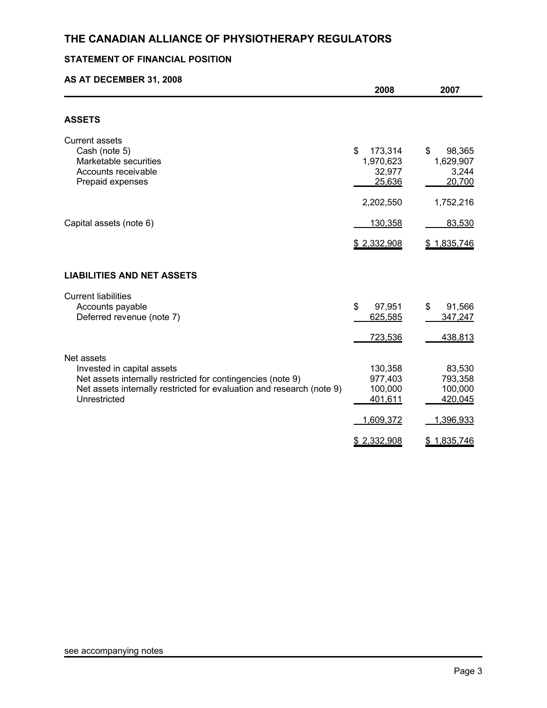## **STATEMENT OF FINANCIAL POSITION**

## **AS AT DECEMBER 31, 2008**

|                                                                                                                                                                                                  | 2008                                                  | 2007                                                 |
|--------------------------------------------------------------------------------------------------------------------------------------------------------------------------------------------------|-------------------------------------------------------|------------------------------------------------------|
|                                                                                                                                                                                                  |                                                       |                                                      |
| <b>ASSETS</b>                                                                                                                                                                                    |                                                       |                                                      |
| <b>Current assets</b><br>Cash (note 5)<br>Marketable securities<br>Accounts receivable<br>Prepaid expenses                                                                                       | \$<br>173,314<br>1,970,623<br>32,977<br>25,636        | \$<br>98,365<br>1,629,907<br>3,244<br>20,700         |
|                                                                                                                                                                                                  | 2,202,550                                             | 1,752,216                                            |
| Capital assets (note 6)                                                                                                                                                                          | 130,358                                               | 83,530                                               |
|                                                                                                                                                                                                  | \$2,332,908                                           | <u>\$1,835,746</u>                                   |
| <b>LIABILITIES AND NET ASSETS</b>                                                                                                                                                                |                                                       |                                                      |
| <b>Current liabilities</b><br>Accounts payable<br>Deferred revenue (note 7)                                                                                                                      | \$<br>97,951<br>625,585<br>723,536                    | \$<br>91,566<br>347,247<br>438,813                   |
| Net assets<br>Invested in capital assets<br>Net assets internally restricted for contingencies (note 9)<br>Net assets internally restricted for evaluation and research (note 9)<br>Unrestricted | 130,358<br>977,403<br>100,000<br>401,611<br>1,609,372 | 83,530<br>793,358<br>100,000<br>420,045<br>1,396,933 |
|                                                                                                                                                                                                  | \$2,332,908                                           | \$1,835,746                                          |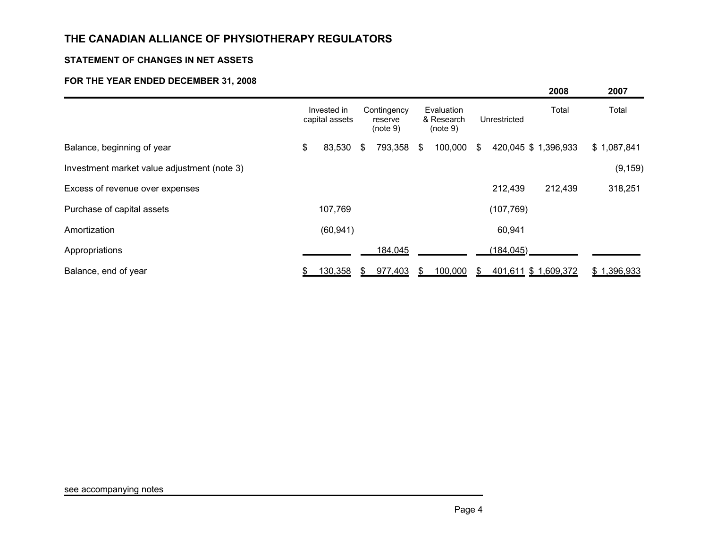## **STATEMENT OF CHANGES IN NET ASSETS**

## **FOR THE YEAR ENDED DECEMBER 31, 2008**

|                                             |                               |               |                                    |                                      |     |              | 2008                 | 2007        |
|---------------------------------------------|-------------------------------|---------------|------------------------------------|--------------------------------------|-----|--------------|----------------------|-------------|
|                                             | Invested in<br>capital assets |               | Contingency<br>reserve<br>(note 9) | Evaluation<br>& Research<br>(note 9) |     | Unrestricted | Total                | Total       |
| Balance, beginning of year                  | \$<br>83,530                  | $\frac{1}{2}$ | 793,358 \$                         | 100,000                              | -S  |              | 420,045 \$ 1,396,933 | \$1,087,841 |
| Investment market value adjustment (note 3) |                               |               |                                    |                                      |     |              |                      | (9, 159)    |
| Excess of revenue over expenses             |                               |               |                                    |                                      |     | 212,439      | 212,439              | 318,251     |
| Purchase of capital assets                  | 107,769                       |               |                                    |                                      |     | (107, 769)   |                      |             |
| Amortization                                | (60, 941)                     |               |                                    |                                      |     | 60,941       |                      |             |
| Appropriations                              |                               |               | 184,045                            |                                      |     | (184, 045)   |                      |             |
| Balance, end of year                        | \$<br><u>130,358</u>          |               | 977,403                            | 100,000                              | \$. |              | 401,611 \$ 1,609,372 | \$1,396,933 |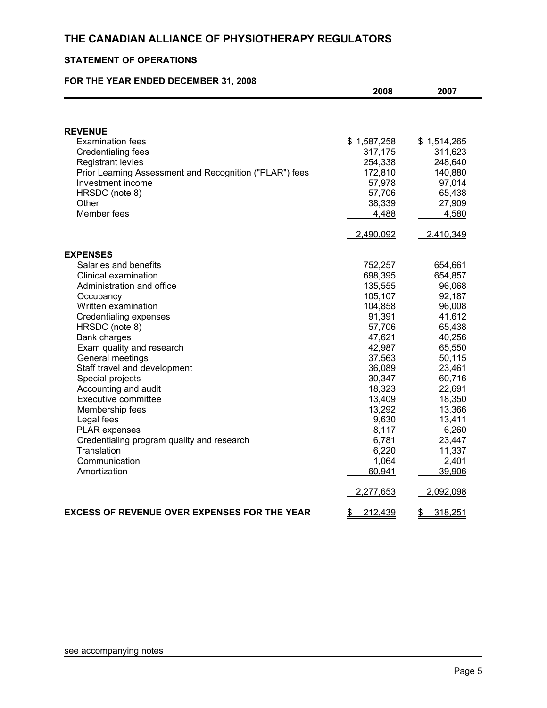## **STATEMENT OF OPERATIONS**

## **FOR THE YEAR ENDED DECEMBER 31, 2008**

|                                                         | 2008          | 2007          |
|---------------------------------------------------------|---------------|---------------|
|                                                         |               |               |
| <b>REVENUE</b>                                          |               |               |
| <b>Examination fees</b>                                 | \$1,587,258   | \$1,514,265   |
| <b>Credentialing fees</b>                               | 317,175       | 311,623       |
| <b>Registrant levies</b>                                | 254,338       | 248,640       |
| Prior Learning Assessment and Recognition ("PLAR") fees | 172,810       | 140,880       |
| Investment income                                       | 57,978        | 97,014        |
| HRSDC (note 8)                                          | 57,706        | 65,438        |
| Other                                                   | 38,339        | 27,909        |
| Member fees                                             | 4,488         | 4,580         |
|                                                         | 2,490,092     | 2,410,349     |
| <b>EXPENSES</b>                                         |               |               |
| Salaries and benefits                                   | 752,257       | 654,661       |
| Clinical examination                                    | 698,395       | 654,857       |
| Administration and office                               | 135,555       | 96,068        |
| Occupancy                                               | 105,107       | 92,187        |
| Written examination                                     | 104,858       | 96,008        |
| Credentialing expenses                                  | 91,391        | 41,612        |
| HRSDC (note 8)                                          | 57,706        | 65,438        |
| Bank charges                                            | 47,621        | 40,256        |
| Exam quality and research                               | 42,987        | 65,550        |
| General meetings                                        | 37,563        | 50,115        |
| Staff travel and development                            | 36,089        | 23,461        |
| Special projects                                        | 30,347        | 60,716        |
| Accounting and audit                                    | 18,323        | 22,691        |
| <b>Executive committee</b>                              | 13,409        | 18,350        |
| Membership fees                                         | 13,292        | 13,366        |
| Legal fees                                              | 9,630         | 13,411        |
| <b>PLAR</b> expenses                                    | 8,117         | 6,260         |
| Credentialing program quality and research              | 6,781         | 23,447        |
| Translation                                             | 6,220         | 11,337        |
| Communication                                           | 1,064         | 2,401         |
| Amortization                                            | 60,941        | 39,906        |
|                                                         | 2,277,653     | 2,092,098     |
| <b>EXCESS OF REVENUE OVER EXPENSES FOR THE YEAR</b>     | 212,439<br>\$ | 318,251<br>\$ |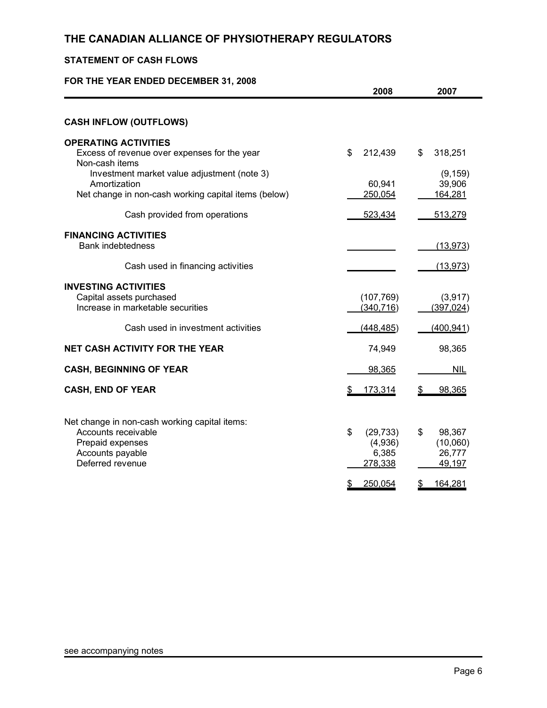## **STATEMENT OF CASH FLOWS**

## **FOR THE YEAR ENDED DECEMBER 31, 2008**

|                                                                                                                                                                                                                      | 2008                                                           | 2007                                                          |
|----------------------------------------------------------------------------------------------------------------------------------------------------------------------------------------------------------------------|----------------------------------------------------------------|---------------------------------------------------------------|
| <b>CASH INFLOW (OUTFLOWS)</b>                                                                                                                                                                                        |                                                                |                                                               |
| <b>OPERATING ACTIVITIES</b><br>Excess of revenue over expenses for the year<br>Non-cash items<br>Investment market value adjustment (note 3)<br>Amortization<br>Net change in non-cash working capital items (below) | \$<br>212,439<br>60,941<br>250,054                             | \$<br>318,251<br>(9, 159)<br>39,906<br>164,281                |
| Cash provided from operations                                                                                                                                                                                        | 523,434                                                        | 513,279                                                       |
| <b>FINANCING ACTIVITIES</b><br><b>Bank indebtedness</b><br>Cash used in financing activities                                                                                                                         |                                                                | (13, 973)<br>(13, 973)                                        |
| <b>INVESTING ACTIVITIES</b><br>Capital assets purchased<br>Increase in marketable securities                                                                                                                         | (107, 769)<br>(340, 716)                                       | (3,917)<br>(397, 024)                                         |
| Cash used in investment activities                                                                                                                                                                                   | (448, 485)                                                     | (400, 941)                                                    |
| <b>NET CASH ACTIVITY FOR THE YEAR</b>                                                                                                                                                                                | 74,949                                                         | 98,365                                                        |
| <b>CASH, BEGINNING OF YEAR</b>                                                                                                                                                                                       | 98,365                                                         | <b>NIL</b>                                                    |
| <b>CASH, END OF YEAR</b>                                                                                                                                                                                             | 173,314                                                        | 98,365<br>S                                                   |
| Net change in non-cash working capital items:<br>Accounts receivable<br>Prepaid expenses<br>Accounts payable<br>Deferred revenue                                                                                     | \$<br>(29, 733)<br>(4,936)<br>6,385<br>278,338<br>250,054<br>S | \$<br>98,367<br>(10,060)<br>26,777<br>49,197<br>\$<br>164,281 |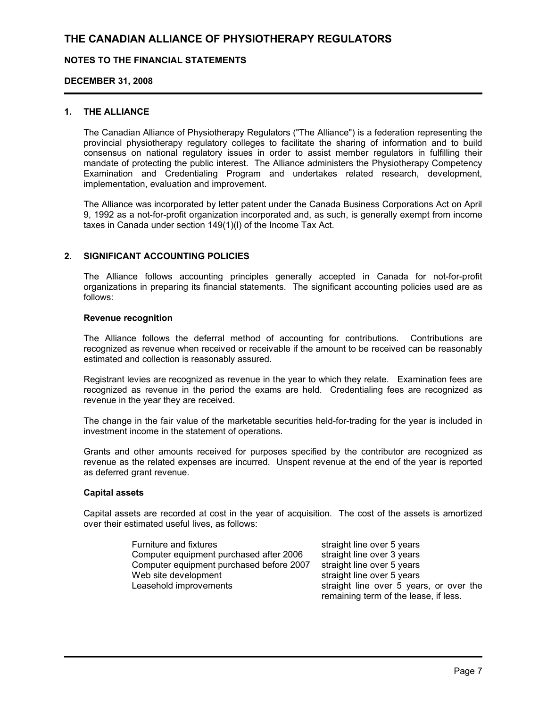## **NOTES TO THE FINANCIAL STATEMENTS**

## **DECEMBER 31, 2008**

## **1. THE ALLIANCE**

The Canadian Alliance of Physiotherapy Regulators ("The Alliance") is a federation representing the provincial physiotherapy regulatory colleges to facilitate the sharing of information and to build consensus on national regulatory issues in order to assist member regulators in fulfilling their mandate of protecting the public interest. The Alliance administers the Physiotherapy Competency Examination and Credentialing Program and undertakes related research, development, implementation, evaluation and improvement.

The Alliance was incorporated by letter patent under the Canada Business Corporations Act on April 9, 1992 as a not-for-profit organization incorporated and, as such, is generally exempt from income taxes in Canada under section 149(1)(l) of the Income Tax Act.

## **2. SIGNIFICANT ACCOUNTING POLICIES**

The Alliance follows accounting principles generally accepted in Canada for not-for-profit organizations in preparing its financial statements. The significant accounting policies used are as follows:

### **Revenue recognition**

The Alliance follows the deferral method of accounting for contributions. Contributions are recognized as revenue when received or receivable if the amount to be received can be reasonably estimated and collection is reasonably assured.

Registrant levies are recognized as revenue in the year to which they relate. Examination fees are recognized as revenue in the period the exams are held. Credentialing fees are recognized as revenue in the year they are received.

The change in the fair value of the marketable securities held-for-trading for the year is included in investment income in the statement of operations.

Grants and other amounts received for purposes specified by the contributor are recognized as revenue as the related expenses are incurred. Unspent revenue at the end of the year is reported as deferred grant revenue.

## **Capital assets**

Capital assets are recorded at cost in the year of acquisition. The cost of the assets is amortized over their estimated useful lives, as follows:

| Furniture and fixtures                   | straight line over 5 years              |
|------------------------------------------|-----------------------------------------|
| Computer equipment purchased after 2006  | straight line over 3 years              |
| Computer equipment purchased before 2007 | straight line over 5 years              |
| Web site development                     | straight line over 5 years              |
| Leasehold improvements                   | straight line over 5 years, or over the |
|                                          | remaining term of the lease, if less.   |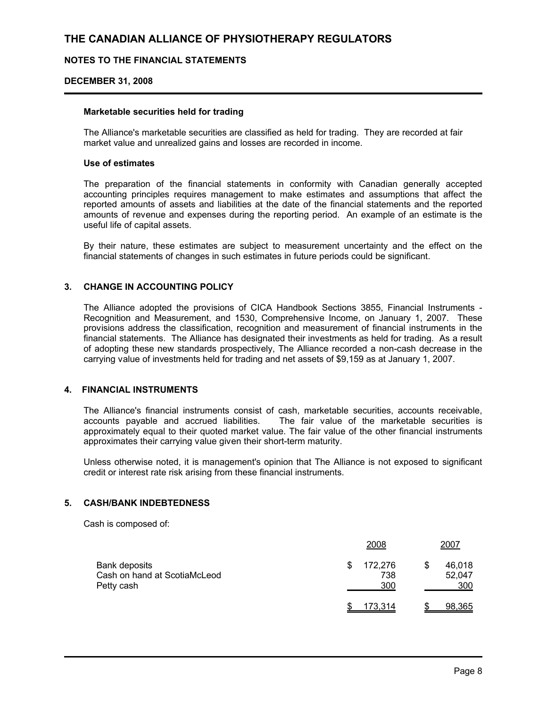## **NOTES TO THE FINANCIAL STATEMENTS**

### **DECEMBER 31, 2008**

### **Marketable securities held for trading**

The Alliance's marketable securities are classified as held for trading. They are recorded at fair market value and unrealized gains and losses are recorded in income.

## **Use of estimates**

The preparation of the financial statements in conformity with Canadian generally accepted accounting principles requires management to make estimates and assumptions that affect the reported amounts of assets and liabilities at the date of the financial statements and the reported amounts of revenue and expenses during the reporting period. An example of an estimate is the useful life of capital assets.

By their nature, these estimates are subject to measurement uncertainty and the effect on the financial statements of changes in such estimates in future periods could be significant.

## **3. CHANGE IN ACCOUNTING POLICY**

The Alliance adopted the provisions of CICA Handbook Sections 3855, Financial Instruments - Recognition and Measurement, and 1530, Comprehensive Income, on January 1, 2007. These provisions address the classification, recognition and measurement of financial instruments in the financial statements. The Alliance has designated their investments as held for trading. As a result of adopting these new standards prospectively, The Alliance recorded a non-cash decrease in the carrying value of investments held for trading and net assets of \$9,159 as at January 1, 2007.

## **4. FINANCIAL INSTRUMENTS**

The Alliance's financial instruments consist of cash, marketable securities, accounts receivable, accounts payable and accrued liabilities. The fair value of the marketable securities is approximately equal to their quoted market value. The fair value of the other financial instruments approximates their carrying value given their short-term maturity.

Unless otherwise noted, it is management's opinion that The Alliance is not exposed to significant credit or interest rate risk arising from these financial instruments.

## **5. CASH/BANK INDEBTEDNESS**

Cash is composed of:

|                                                             | 2008                         | 2007                    |
|-------------------------------------------------------------|------------------------------|-------------------------|
| Bank deposits<br>Cash on hand at ScotiaMcLeod<br>Petty cash | 172,276<br>\$.<br>738<br>300 | 46,018<br>52,047<br>300 |
|                                                             | 173,314                      | 98,365                  |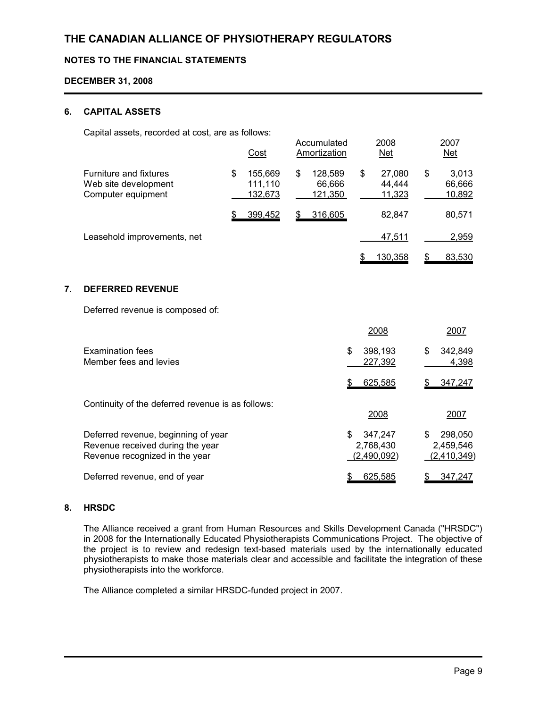## **NOTES TO THE FINANCIAL STATEMENTS**

## **DECEMBER 31, 2008**

## **6. CAPITAL ASSETS**

Capital assets, recorded at cost, are as follows:

|                                                                             | Cost                                | Accumulated<br>Amortization        |   | 2008<br><u>Net</u>         | 2007<br><u>Net</u>                     |
|-----------------------------------------------------------------------------|-------------------------------------|------------------------------------|---|----------------------------|----------------------------------------|
| <b>Furniture and fixtures</b><br>Web site development<br>Computer equipment | \$<br>155,669<br>111,110<br>132,673 | \$<br>128,589<br>66,666<br>121,350 | S | 27,080<br>44.444<br>11,323 | \$<br>3,013<br>66,666<br><u>10,892</u> |
|                                                                             | 399,452                             | 316,605                            |   | 82.847                     | 80,571                                 |
| Leasehold improvements, net                                                 |                                     |                                    |   | 47,511                     | 2,959                                  |
|                                                                             |                                     |                                    |   | 130,358                    | 83,530                                 |

## **7. DEFERRED REVENUE**

Deferred revenue is composed of:

|                                                                                                           | 2008                                      | 2007                                      |
|-----------------------------------------------------------------------------------------------------------|-------------------------------------------|-------------------------------------------|
| <b>Examination fees</b><br>Member fees and levies                                                         | 398,193<br>\$<br>227,392                  | 342.849<br>\$<br>4,398                    |
|                                                                                                           | 625,585                                   | 347,247                                   |
| Continuity of the deferred revenue is as follows:                                                         | 2008                                      | 2007                                      |
| Deferred revenue, beginning of year<br>Revenue received during the year<br>Revenue recognized in the year | 347.247<br>\$<br>2,768,430<br>(2,490,092) | 298,050<br>\$<br>2,459,546<br>(2,410,349) |
| Deferred revenue, end of year                                                                             | 625,585                                   | 347,247                                   |

## **8. HRSDC**

The Alliance received a grant from Human Resources and Skills Development Canada ("HRSDC") in 2008 for the Internationally Educated Physiotherapists Communications Project. The objective of the project is to review and redesign text-based materials used by the internationally educated physiotherapists to make those materials clear and accessible and facilitate the integration of these physiotherapists into the workforce.

The Alliance completed a similar HRSDC-funded project in 2007.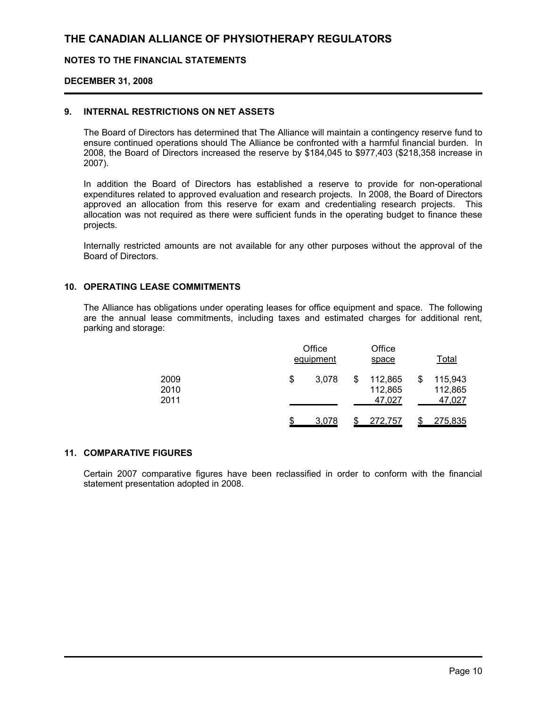## **NOTES TO THE FINANCIAL STATEMENTS**

### **DECEMBER 31, 2008**

### **9. INTERNAL RESTRICTIONS ON NET ASSETS**

The Board of Directors has determined that The Alliance will maintain a contingency reserve fund to ensure continued operations should The Alliance be confronted with a harmful financial burden. In 2008, the Board of Directors increased the reserve by \$184,045 to \$977,403 (\$218,358 increase in 2007).

In addition the Board of Directors has established a reserve to provide for non-operational expenditures related to approved evaluation and research projects. In 2008, the Board of Directors approved an allocation from this reserve for exam and credentialing research projects. This allocation was not required as there were sufficient funds in the operating budget to finance these projects.

Internally restricted amounts are not available for any other purposes without the approval of the Board of Directors.

## **10. OPERATING LEASE COMMITMENTS**

The Alliance has obligations under operating leases for office equipment and space. The following are the annual lease commitments, including taxes and estimated charges for additional rent, parking and storage:

|                      | Office<br>equipment |  |                              | Office<br>space |                              |  |
|----------------------|---------------------|--|------------------------------|-----------------|------------------------------|--|
| 2009<br>2010<br>2011 | \$<br>3.078         |  | 112,865<br>112,865<br>47,027 |                 | 115,943<br>112,865<br>47,027 |  |
|                      | \$<br>3,078         |  | 272,757                      |                 | 275,835                      |  |

### **11. COMPARATIVE FIGURES**

Certain 2007 comparative figures have been reclassified in order to conform with the financial statement presentation adopted in 2008.